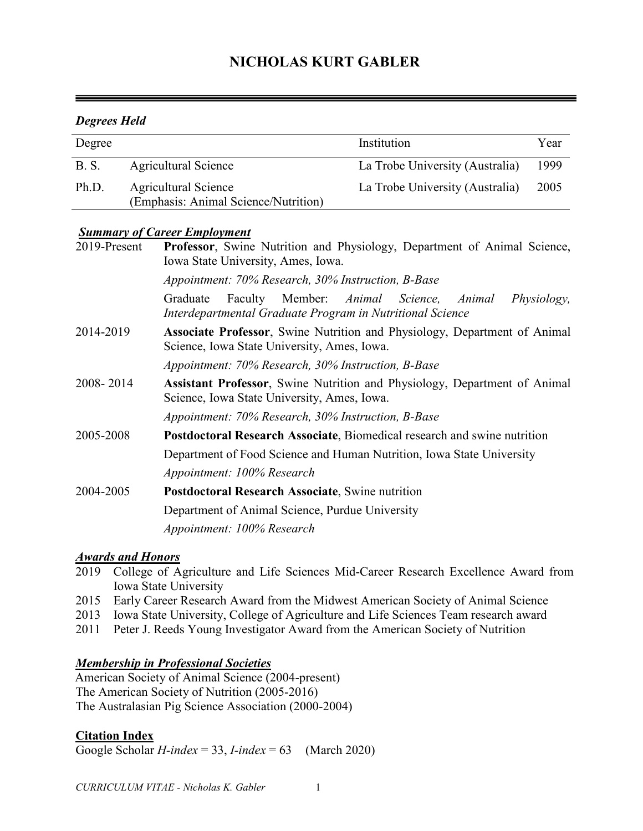# **NICHOLAS KURT GABLER**

# *Degrees Held*

| Degree      |                                                              | Institution                     | Year |
|-------------|--------------------------------------------------------------|---------------------------------|------|
| <b>B.S.</b> | Agricultural Science                                         | La Trobe University (Australia) | 1999 |
| Ph.D.       | Agricultural Science<br>(Emphasis: Animal Science/Nutrition) | La Trobe University (Australia) | 2005 |

# *Summary of Career Employment*

| <b>Professor</b> , Swine Nutrition and Physiology, Department of Animal Science,<br>Iowa State University, Ames, Iowa.<br>Appointment: 70% Research, 30% Instruction, B-Base |  |  |
|------------------------------------------------------------------------------------------------------------------------------------------------------------------------------|--|--|
|                                                                                                                                                                              |  |  |
| Associate Professor, Swine Nutrition and Physiology, Department of Animal<br>Science, Iowa State University, Ames, Iowa.                                                     |  |  |
| Appointment: 70% Research, 30% Instruction, B-Base                                                                                                                           |  |  |
| Assistant Professor, Swine Nutrition and Physiology, Department of Animal<br>Science, Iowa State University, Ames, Iowa.                                                     |  |  |
| Appointment: 70% Research, 30% Instruction, B-Base                                                                                                                           |  |  |
| <b>Postdoctoral Research Associate, Biomedical research and swine nutrition</b>                                                                                              |  |  |
| Department of Food Science and Human Nutrition, Iowa State University                                                                                                        |  |  |
| Appointment: 100% Research                                                                                                                                                   |  |  |
| <b>Postdoctoral Research Associate, Swine nutrition</b>                                                                                                                      |  |  |
| Department of Animal Science, Purdue University                                                                                                                              |  |  |
| Appointment: 100% Research                                                                                                                                                   |  |  |
|                                                                                                                                                                              |  |  |

## *Awards and Honors*

- 2019 College of Agriculture and Life Sciences Mid-Career Research Excellence Award from Iowa State University
- 2015 Early Career Research Award from the Midwest American Society of Animal Science
- 2013 Iowa State University, College of Agriculture and Life Sciences Team research award
- 2011 Peter J. Reeds Young Investigator Award from the American Society of Nutrition

## *Membership in Professional Societies*

American Society of Animal Science (2004-present) The American Society of Nutrition (2005-2016) The Australasian Pig Science Association (2000-2004)

## **Citation Index**

Google Scholar *H-index* = 33, *I-index* = 63 (March 2020)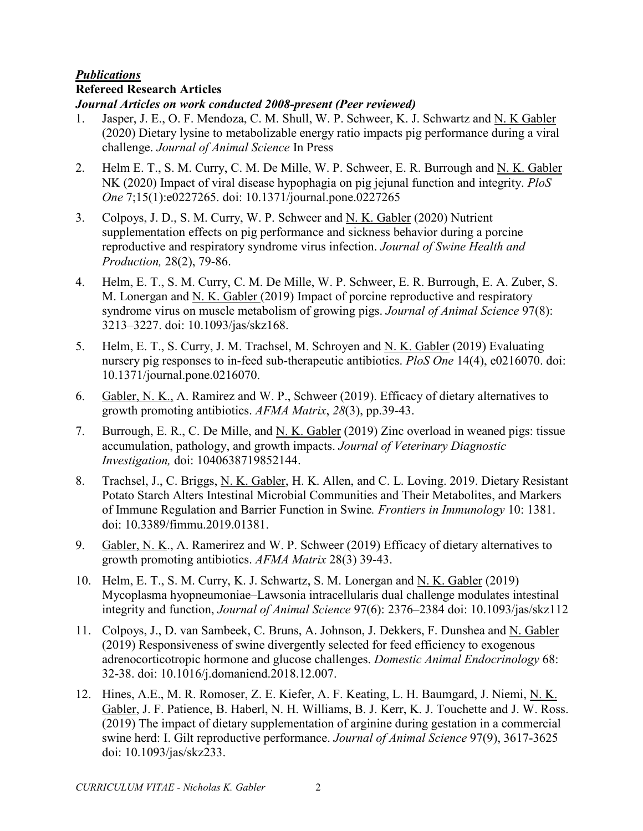#### *Publications* **Refereed Research Articles**

*Journal Articles on work conducted 2008-present (Peer reviewed)*

- 1. Jasper, J. E., O. F. Mendoza, C. M. Shull, W. P. Schweer, K. J. Schwartz and N. K Gabler (2020) Dietary lysine to metabolizable energy ratio impacts pig performance during a viral challenge. *Journal of Animal Science* In Press
- 2. Helm E. T., S. M. Curry, C. M. De Mille, W. P. Schweer, E. R. Burrough and N. K. Gabler NK (2020) Impact of viral disease hypophagia on pig jejunal function and integrity. *PloS One* 7;15(1):e0227265. doi: 10.1371/journal.pone.0227265
- 3. Colpoys, J. D., S. M. Curry, W. P. Schweer and N. K. Gabler (2020) Nutrient supplementation effects on pig performance and sickness behavior during a porcine reproductive and respiratory syndrome virus infection. *Journal of Swine Health and Production,* 28(2), 79-86.
- 4. Helm, E. T., S. M. Curry, C. M. De Mille, W. P. Schweer, E. R. Burrough, E. A. Zuber, S. M. Lonergan and N. K. Gabler (2019) Impact of porcine reproductive and respiratory syndrome virus on muscle metabolism of growing pigs. *Journal of Animal Science* 97(8): 3213–3227. doi: 10.1093/jas/skz168.
- 5. Helm, E. T., S. Curry, J. M. Trachsel, M. Schroyen and <u>N. K. Gabler</u> (2019) Evaluating nursery pig responses to in-feed sub-therapeutic antibiotics. *PloS One* 14(4), e0216070. doi: 10.1371/journal.pone.0216070.
- 6. Gabler, N. K., A. Ramirez and W. P., Schweer (2019). Efficacy of dietary alternatives to growth promoting antibiotics. *AFMA Matrix*, *28*(3), pp.39-43.
- 7. Burrough, E. R., C. De Mille, and N. K. Gabler (2019) Zinc overload in weaned pigs: tissue accumulation, pathology, and growth impacts. *Journal of Veterinary Diagnostic Investigation,* doi: 1040638719852144.
- 8. Trachsel, J., C. Briggs, N. K. Gabler, H. K. Allen, and C. L. Loving. 2019. Dietary Resistant Potato Starch Alters Intestinal Microbial Communities and Their Metabolites, and Markers of Immune Regulation and Barrier Function in Swine*. Frontiers in Immunology* 10: 1381. doi: 10.3389/fimmu.2019.01381.
- 9. Gabler, N. K., A. Ramerirez and W. P. Schweer (2019) Efficacy of dietary alternatives to growth promoting antibiotics. *AFMA Matrix* 28(3) 39-43.
- 10. Helm, E. T., S. M. Curry, K. J. Schwartz, S. M. Lonergan and N. K. Gabler (2019) Mycoplasma hyopneumoniae–Lawsonia intracellularis dual challenge modulates intestinal integrity and function, *Journal of Animal Science* 97(6): 2376–2384 doi: 10.1093/jas/skz112
- 11. Colpoys, J., D. van Sambeek, C. Bruns, A. Johnson, J. Dekkers, F. Dunshea and N. Gabler (2019) Responsiveness of swine divergently selected for feed efficiency to exogenous adrenocorticotropic hormone and glucose challenges. *Domestic Animal Endocrinology* 68: 32-38. doi: 10.1016/j.domaniend.2018.12.007.
- 12. Hines, A.E., M. R. Romoser, Z. E. Kiefer, A. F. Keating, L. H. Baumgard, J. Niemi, N. K. Gabler, J. F. Patience, B. Haberl, N. H. Williams, B. J. Kerr, K. J. Touchette and J. W. Ross. (2019) The impact of dietary supplementation of arginine during gestation in a commercial swine herd: I. Gilt reproductive performance. *Journal of Animal Science* 97(9), 3617-3625 doi: 10.1093/jas/skz233.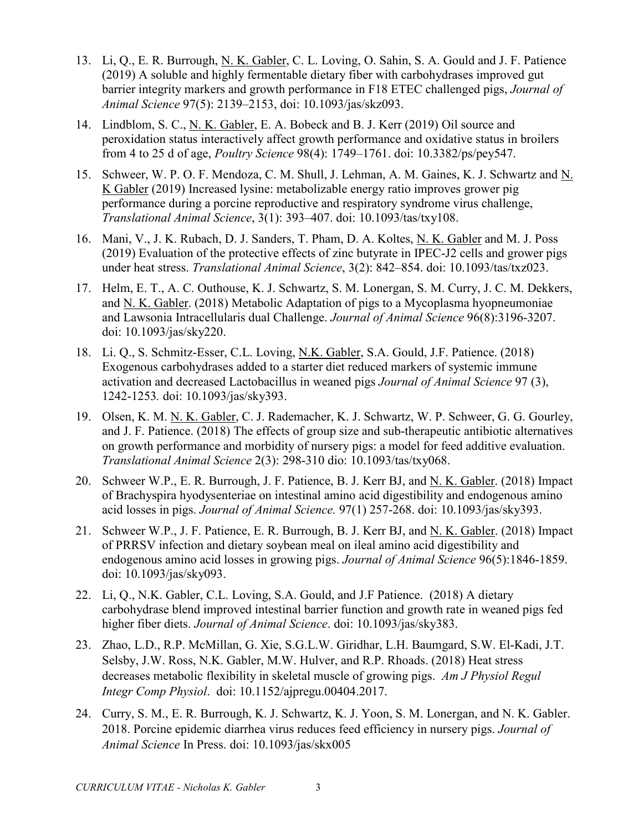- 13. Li, Q., E. R. Burrough, N. K. Gabler, C. L. Loving, O. Sahin, S. A. Gould and J. F. Patience (2019) A soluble and highly fermentable dietary fiber with carbohydrases improved gut barrier integrity markers and growth performance in F18 ETEC challenged pigs, *Journal of Animal Science* 97(5): 2139–2153, doi: 10.1093/jas/skz093.
- 14. Lindblom, S. C., N. K. Gabler, E. A. Bobeck and B. J. Kerr (2019) Oil source and peroxidation status interactively affect growth performance and oxidative status in broilers from 4 to 25 d of age, *Poultry Science* 98(4): 1749–1761. doi: 10.3382/ps/pey547.
- 15. Schweer, W. P. O. F. Mendoza, C. M. Shull, J. Lehman, A. M. Gaines, K. J. Schwartz and N. K Gabler (2019) Increased lysine: metabolizable energy ratio improves grower pig performance during a porcine reproductive and respiratory syndrome virus challenge, *Translational Animal Science*, 3(1): 393–407. doi: 10.1093/tas/txy108.
- 16. Mani, V., J. K. Rubach, D. J. Sanders, T. Pham, D. A. Koltes, N. K. Gabler and M. J. Poss (2019) Evaluation of the protective effects of zinc butyrate in IPEC-J2 cells and grower pigs under heat stress. *Translational Animal Science*, 3(2): 842–854. doi: 10.1093/tas/txz023.
- 17. Helm, E. T., A. C. Outhouse, K. J. Schwartz, S. M. Lonergan, S. M. Curry, J. C. M. Dekkers, and N. K. Gabler. (2018) Metabolic Adaptation of pigs to a Mycoplasma hyopneumoniae and Lawsonia Intracellularis dual Challenge. *Journal of Animal Science* 96(8):3196-3207. doi: 10.1093/jas/sky220.
- 18. Li. Q., S. Schmitz-Esser, C.L. Loving, N.K. Gabler, S.A. Gould, J.F. Patience. (2018) Exogenous carbohydrases added to a starter diet reduced markers of systemic immune activation and decreased Lactobacillus in weaned pigs *Journal of Animal Science* 97 (3), 1242-1253*.* doi: 10.1093/jas/sky393.
- 19. Olsen, K. M. N. K. Gabler, C. J. Rademacher, K. J. Schwartz, W. P. Schweer, G. G. Gourley, and J. F. Patience. (2018) The effects of group size and sub-therapeutic antibiotic alternatives on growth performance and morbidity of nursery pigs: a model for feed additive evaluation. *Translational Animal Science* 2(3): 298-310 dio: 10.1093/tas/txy068.
- 20. Schweer W.P., E. R. Burrough, J. F. Patience, B. J. Kerr BJ, and N. K. Gabler. (2018) Impact of Brachyspira hyodysenteriae on intestinal amino acid digestibility and endogenous amino acid losses in pigs. *Journal of Animal Science.* 97(1) 257-268. doi: 10.1093/jas/sky393.
- 21. Schweer W.P., J. F. Patience, E. R. Burrough, B. J. Kerr BJ, and N. K. Gabler. (2018) Impact of PRRSV infection and dietary soybean meal on ileal amino acid digestibility and endogenous amino acid losses in growing pigs. *Journal of Animal Science* 96(5):1846-1859. doi: 10.1093/jas/sky093.
- 22. Li, Q., N.K. Gabler, C.L. Loving, S.A. Gould, and J.F Patience. (2018) A dietary carbohydrase blend improved intestinal barrier function and growth rate in weaned pigs fed higher fiber diets. *Journal of Animal Science*. doi: 10.1093/jas/sky383.
- 23. Zhao, L.D., R.P. McMillan, G. Xie, S.G.L.W. Giridhar, L.H. Baumgard, S.W. El-Kadi, J.T. Selsby, J.W. Ross, N.K. Gabler, M.W. Hulver, and R.P. Rhoads. (2018) Heat stress decreases metabolic flexibility in skeletal muscle of growing pigs. *Am J Physiol Regul Integr Comp Physiol*. doi: 10.1152/ajpregu.00404.2017.
- 24. Curry, S. M., E. R. Burrough, K. J. Schwartz, K. J. Yoon, S. M. Lonergan, and N. K. Gabler. 2018. Porcine epidemic diarrhea virus reduces feed efficiency in nursery pigs. *Journal of Animal Science* In Press. doi: 10.1093/jas/skx005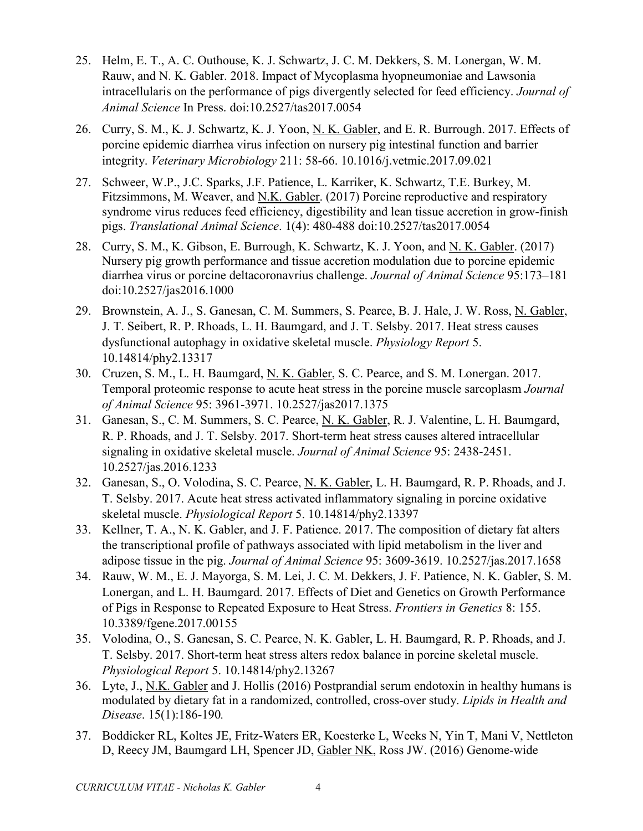- 25. Helm, E. T., A. C. Outhouse, K. J. Schwartz, J. C. M. Dekkers, S. M. Lonergan, W. M. Rauw, and N. K. Gabler. 2018. Impact of Mycoplasma hyopneumoniae and Lawsonia intracellularis on the performance of pigs divergently selected for feed efficiency. *Journal of Animal Science* In Press. doi:10.2527/tas2017.0054
- 26. Curry, S. M., K. J. Schwartz, K. J. Yoon, N. K. Gabler, and E. R. Burrough. 2017. Effects of porcine epidemic diarrhea virus infection on nursery pig intestinal function and barrier integrity. *Veterinary Microbiology* 211: 58-66. 10.1016/j.vetmic.2017.09.021
- 27. Schweer, W.P., J.C. Sparks, J.F. Patience, L. Karriker, K. Schwartz, T.E. Burkey, M. Fitzsimmons, M. Weaver, and N.K. Gabler. (2017) Porcine reproductive and respiratory syndrome virus reduces feed efficiency, digestibility and lean tissue accretion in grow-finish pigs. *Translational Animal Science*. 1(4): 480-488 doi:10.2527/tas2017.0054
- 28. Curry, S. M., K. Gibson, E. Burrough, K. Schwartz, K. J. Yoon, and N. K. Gabler. (2017) Nursery pig growth performance and tissue accretion modulation due to porcine epidemic diarrhea virus or porcine deltacoronavrius challenge. *Journal of Animal Science* 95:173–181 doi:10.2527/jas2016.1000
- 29. Brownstein, A. J., S. Ganesan, C. M. Summers, S. Pearce, B. J. Hale, J. W. Ross, N. Gabler, J. T. Seibert, R. P. Rhoads, L. H. Baumgard, and J. T. Selsby. 2017. Heat stress causes dysfunctional autophagy in oxidative skeletal muscle. *Physiology Report* 5. 10.14814/phy2.13317
- 30. Cruzen, S. M., L. H. Baumgard, N. K. Gabler, S. C. Pearce, and S. M. Lonergan. 2017. Temporal proteomic response to acute heat stress in the porcine muscle sarcoplasm *Journal of Animal Science* 95: 3961-3971. 10.2527/jas2017.1375
- 31. Ganesan, S., C. M. Summers, S. C. Pearce, N. K. Gabler, R. J. Valentine, L. H. Baumgard, R. P. Rhoads, and J. T. Selsby. 2017. Short-term heat stress causes altered intracellular signaling in oxidative skeletal muscle. *Journal of Animal Science* 95: 2438-2451. 10.2527/jas.2016.1233
- 32. Ganesan, S., O. Volodina, S. C. Pearce, N. K. Gabler, L. H. Baumgard, R. P. Rhoads, and J. T. Selsby. 2017. Acute heat stress activated inflammatory signaling in porcine oxidative skeletal muscle. *Physiological Report* 5. 10.14814/phy2.13397
- 33. Kellner, T. A., N. K. Gabler, and J. F. Patience. 2017. The composition of dietary fat alters the transcriptional profile of pathways associated with lipid metabolism in the liver and adipose tissue in the pig. *Journal of Animal Science* 95: 3609-3619. 10.2527/jas.2017.1658
- 34. Rauw, W. M., E. J. Mayorga, S. M. Lei, J. C. M. Dekkers, J. F. Patience, N. K. Gabler, S. M. Lonergan, and L. H. Baumgard. 2017. Effects of Diet and Genetics on Growth Performance of Pigs in Response to Repeated Exposure to Heat Stress. *Frontiers in Genetics* 8: 155. 10.3389/fgene.2017.00155
- 35. Volodina, O., S. Ganesan, S. C. Pearce, N. K. Gabler, L. H. Baumgard, R. P. Rhoads, and J. T. Selsby. 2017. Short-term heat stress alters redox balance in porcine skeletal muscle. *Physiological Report* 5. 10.14814/phy2.13267
- 36. Lyte, J., N.K. Gabler and J. Hollis (2016) Postprandial serum endotoxin in healthy humans is modulated by dietary fat in a randomized, controlled, cross-over study. *Lipids in Health and Disease*. 15(1):186-190*.*
- 37. Boddicker RL, Koltes JE, Fritz-Waters ER, Koesterke L, Weeks N, Yin T, Mani V, Nettleton D, Reecy JM, Baumgard LH, Spencer JD, Gabler NK, Ross JW. (2016) Genome-wide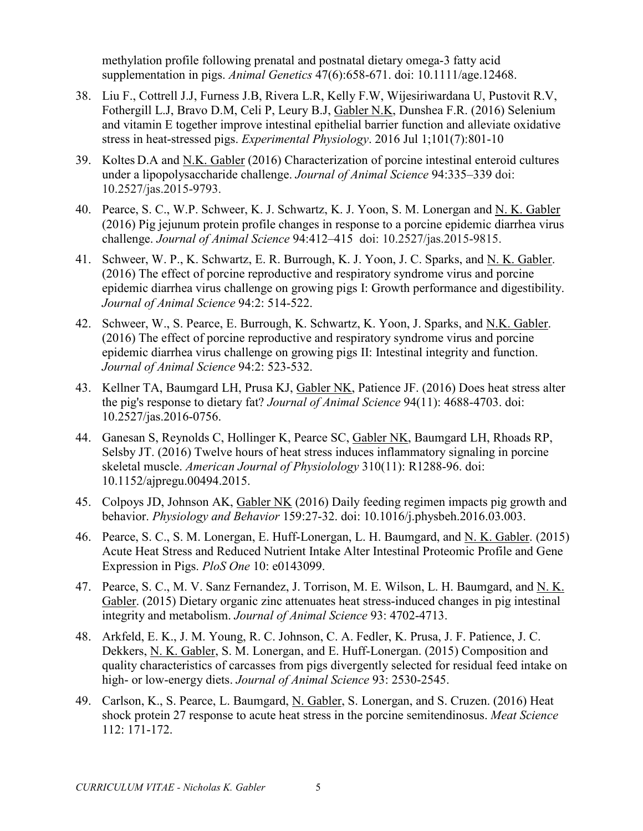methylation profile following prenatal and postnatal dietary omega-3 fatty acid supplementation in pigs. *Animal Genetics* 47(6):658-671. doi: 10.1111/age.12468.

- 38. Liu F., Cottrell J.J, Furness J.B, Rivera L.R, Kelly F.W, Wijesiriwardana U, Pustovit R.V, Fothergill L.J, Bravo D.M, Celi P, Leury B.J, Gabler N.K, Dunshea F.R. (2016) Selenium and vitamin E together improve intestinal epithelial barrier function and alleviate oxidative stress in heat-stressed pigs. *Experimental Physiology*. 2016 Jul 1;101(7):801-10
- 39. Koltes D.A and N.K. Gabler (2016) Characterization of porcine intestinal enteroid cultures under a lipopolysaccharide challenge. *Journal of Animal Science* 94:335–339 doi: 10.2527/jas.2015-9793.
- 40. Pearce, S. C., W.P. Schweer, K. J. Schwartz, K. J. Yoon, S. M. Lonergan and N. K. Gabler (2016) Pig jejunum protein profile changes in response to a porcine epidemic diarrhea virus challenge. *Journal of Animal Science* 94:412–415 doi: 10.2527/jas.2015-9815.
- 41. Schweer, W. P., K. Schwartz, E. R. Burrough, K. J. Yoon, J. C. Sparks, and N. K. Gabler. (2016) The effect of porcine reproductive and respiratory syndrome virus and porcine epidemic diarrhea virus challenge on growing pigs I: Growth performance and digestibility. *Journal of Animal Science* 94:2: 514-522.
- 42. Schweer, W., S. Pearce, E. Burrough, K. Schwartz, K. Yoon, J. Sparks, and N.K. Gabler. (2016) The effect of porcine reproductive and respiratory syndrome virus and porcine epidemic diarrhea virus challenge on growing pigs II: Intestinal integrity and function. *Journal of Animal Science* 94:2: 523-532.
- 43. Kellner TA, Baumgard LH, Prusa KJ, Gabler NK, Patience JF. (2016) Does heat stress alter the pig's response to dietary fat? *Journal of Animal Science* 94(11): 4688-4703. doi: 10.2527/jas.2016-0756.
- 44. Ganesan S, Reynolds C, Hollinger K, Pearce SC, Gabler NK, Baumgard LH, Rhoads RP, Selsby JT. (2016) Twelve hours of heat stress induces inflammatory signaling in porcine skeletal muscle. *American Journal of Physiolology* 310(11): R1288-96. doi: 10.1152/ajpregu.00494.2015.
- 45. Colpoys JD, Johnson AK, Gabler NK (2016) Daily feeding regimen impacts pig growth and behavior. *Physiology and Behavior* 159:27-32. doi: 10.1016/j.physbeh.2016.03.003.
- 46. Pearce, S. C., S. M. Lonergan, E. Huff-Lonergan, L. H. Baumgard, and N. K. Gabler. (2015) Acute Heat Stress and Reduced Nutrient Intake Alter Intestinal Proteomic Profile and Gene Expression in Pigs. *PloS One* 10: e0143099.
- 47. Pearce, S. C., M. V. Sanz Fernandez, J. Torrison, M. E. Wilson, L. H. Baumgard, and N. K. Gabler. (2015) Dietary organic zinc attenuates heat stress-induced changes in pig intestinal integrity and metabolism. *Journal of Animal Science* 93: 4702-4713.
- 48. Arkfeld, E. K., J. M. Young, R. C. Johnson, C. A. Fedler, K. Prusa, J. F. Patience, J. C. Dekkers, N. K. Gabler, S. M. Lonergan, and E. Huff-Lonergan. (2015) Composition and quality characteristics of carcasses from pigs divergently selected for residual feed intake on high- or low-energy diets. *Journal of Animal Science* 93: 2530-2545.
- 49. Carlson, K., S. Pearce, L. Baumgard, N. Gabler, S. Lonergan, and S. Cruzen. (2016) Heat shock protein 27 response to acute heat stress in the porcine semitendinosus. *Meat Science* 112: 171-172.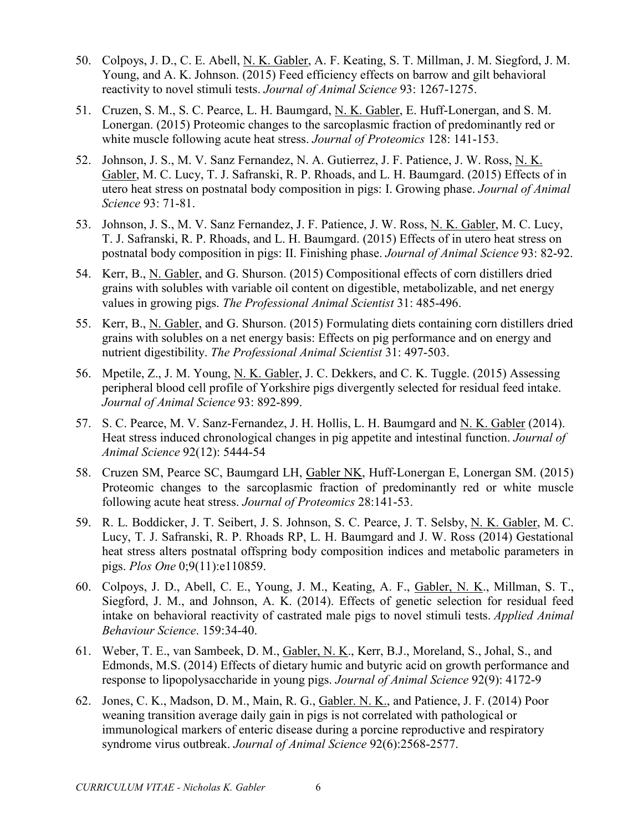- 50. Colpoys, J. D., C. E. Abell, N. K. Gabler, A. F. Keating, S. T. Millman, J. M. Siegford, J. M. Young, and A. K. Johnson. (2015) Feed efficiency effects on barrow and gilt behavioral reactivity to novel stimuli tests. *Journal of Animal Science* 93: 1267-1275.
- 51. Cruzen, S. M., S. C. Pearce, L. H. Baumgard, N. K. Gabler, E. Huff-Lonergan, and S. M. Lonergan. (2015) Proteomic changes to the sarcoplasmic fraction of predominantly red or white muscle following acute heat stress. *Journal of Proteomics* 128: 141-153.
- 52. Johnson, J. S., M. V. Sanz Fernandez, N. A. Gutierrez, J. F. Patience, J. W. Ross, N. K. Gabler, M. C. Lucy, T. J. Safranski, R. P. Rhoads, and L. H. Baumgard. (2015) Effects of in utero heat stress on postnatal body composition in pigs: I. Growing phase. *Journal of Animal Science* 93: 71-81.
- 53. Johnson, J. S., M. V. Sanz Fernandez, J. F. Patience, J. W. Ross, N. K. Gabler, M. C. Lucy, T. J. Safranski, R. P. Rhoads, and L. H. Baumgard. (2015) Effects of in utero heat stress on postnatal body composition in pigs: II. Finishing phase. *Journal of Animal Science* 93: 82-92.
- 54. Kerr, B., N. Gabler, and G. Shurson. (2015) Compositional effects of corn distillers dried grains with solubles with variable oil content on digestible, metabolizable, and net energy values in growing pigs. *The Professional Animal Scientist* 31: 485-496.
- 55. Kerr, B., N. Gabler, and G. Shurson. (2015) Formulating diets containing corn distillers dried grains with solubles on a net energy basis: Effects on pig performance and on energy and nutrient digestibility. *The Professional Animal Scientist* 31: 497-503.
- 56. Mpetile, Z., J. M. Young, N. K. Gabler, J. C. Dekkers, and C. K. Tuggle. (2015) Assessing peripheral blood cell profile of Yorkshire pigs divergently selected for residual feed intake. *Journal of Animal Science* 93: 892-899.
- 57. S. C. Pearce, M. V. Sanz-Fernandez, J. H. Hollis, L. H. Baumgard and N. K. Gabler (2014). Heat stress induced chronological changes in pig appetite and intestinal function. *Journal of Animal Science* 92(12): 5444-54
- 58. Cruzen SM, Pearce SC, Baumgard LH, Gabler NK, Huff-Lonergan E, Lonergan SM. (2015) Proteomic changes to the sarcoplasmic fraction of predominantly red or white muscle following acute heat stress. *Journal of Proteomics* 28:141-53.
- 59. R. L. Boddicker, J. T. Seibert, J. S. Johnson, S. C. Pearce, J. T. Selsby, N. K. Gabler, M. C. Lucy, T. J. Safranski, R. P. Rhoads RP, L. H. Baumgard and J. W. Ross (2014) Gestational heat stress alters postnatal offspring body composition indices and metabolic parameters in pigs. *Plos One* 0;9(11):e110859.
- 60. Colpoys, J. D., Abell, C. E., Young, J. M., Keating, A. F., Gabler, N. K., Millman, S. T., Siegford, J. M., and Johnson, A. K. (2014). Effects of genetic selection for residual feed intake on behavioral reactivity of castrated male pigs to novel stimuli tests. *Applied Animal Behaviour Science*. 159:34-40.
- 61. Weber, T. E., van Sambeek, D. M., Gabler, N. K., Kerr, B.J., Moreland, S., Johal, S., and Edmonds, M.S. (2014) Effects of dietary humic and butyric acid on growth performance and response to lipopolysaccharide in young pigs. *Journal of Animal Science* 92(9): 4172-9
- 62. Jones, C. K., Madson, D. M., Main, R. G., Gabler. N. K., and Patience, J. F. (2014) Poor weaning transition average daily gain in pigs is not correlated with pathological or immunological markers of enteric disease during a porcine reproductive and respiratory syndrome virus outbreak. *Journal of Animal Science* 92(6):2568-2577.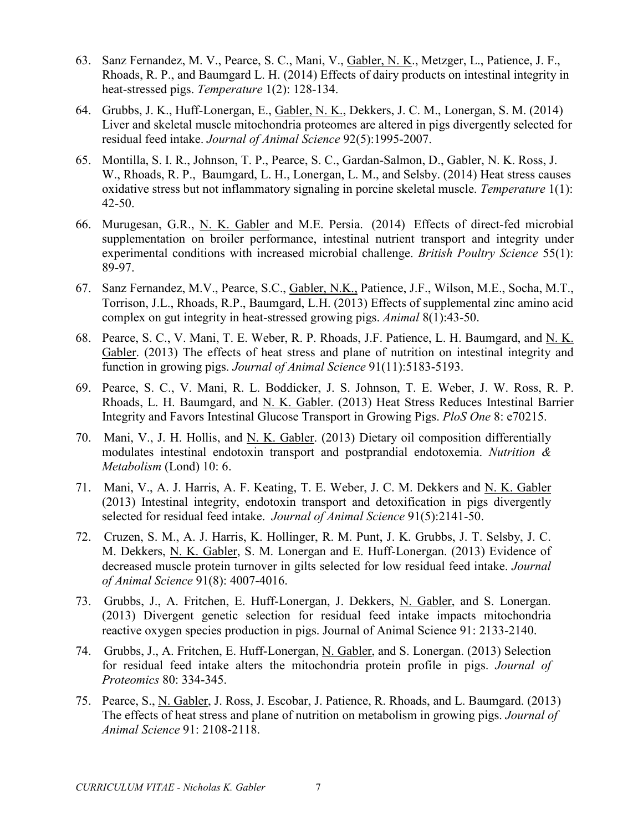- 63. Sanz Fernandez, M. V., Pearce, S. C., Mani, V., Gabler, N. K., Metzger, L., Patience, J. F., Rhoads, R. P., and Baumgard L. H. (2014) Effects of dairy products on intestinal integrity in heat-stressed pigs. *Temperature* 1(2): 128-134.
- 64. Grubbs, J. K., Huff-Lonergan, E., Gabler, N. K., Dekkers, J. C. M., Lonergan, S. M. (2014) Liver and skeletal muscle mitochondria proteomes are altered in pigs divergently selected for residual feed intake. *Journal of Animal Science* 92(5):1995-2007.
- 65. Montilla, S. I. R., Johnson, T. P., Pearce, S. C., Gardan-Salmon, D., Gabler, N. K. Ross, J. W., Rhoads, R. P., Baumgard, L. H., Lonergan, L. M., and Selsby. (2014) Heat stress causes oxidative stress but not inflammatory signaling in porcine skeletal muscle. *Temperature* 1(1): 42-50.
- 66. Murugesan, G.R., N. K. Gabler and M.E. Persia. (2014) Effects of direct-fed microbial supplementation on broiler performance, intestinal nutrient transport and integrity under experimental conditions with increased microbial challenge. *British Poultry Science* 55(1): 89-97.
- 67. Sanz Fernandez, M.V., Pearce, S.C., Gabler, N.K., Patience, J.F., Wilson, M.E., Socha, M.T., Torrison, J.L., Rhoads, R.P., Baumgard, L.H. (2013) [Effects of supplemental zinc amino acid](https://www.pubmed.gov/pubmed/24229744)  [complex on gut integrity in heat-stressed growing pigs.](https://www.pubmed.gov/pubmed/24229744) *Animal* 8(1):43-50.
- 68. Pearce, S. C., V. Mani, T. E. Weber, R. P. Rhoads, J.F. Patience, L. H. Baumgard, and N. K. Gabler. (2013) The effects of heat stress and plane of nutrition on intestinal integrity and function in growing pigs. *Journal of Animal Science* 91(11):5183-5193.
- 69. Pearce, S. C., V. Mani, R. L. Boddicker, J. S. Johnson, T. E. Weber, J. W. Ross, R. P. Rhoads, L. H. Baumgard, and N. K. Gabler. (2013) Heat Stress Reduces Intestinal Barrier Integrity and Favors Intestinal Glucose Transport in Growing Pigs. *PloS One* 8: e70215.
- 70. Mani, V., J. H. Hollis, and N. K. Gabler. (2013) Dietary oil composition differentially modulates intestinal endotoxin transport and postprandial endotoxemia. *Nutrition & Metabolism* (Lond) 10: 6.
- 71. Mani, V., A. J. Harris, A. F. Keating, T. E. Weber, J. C. M. Dekkers and N. K. Gabler (2013) Intestinal integrity, endotoxin transport and detoxification in pigs divergently selected for residual feed intake. *Journal of Animal Science* 91(5):2141-50.
- 72. Cruzen, S. M., A. J. Harris, K. Hollinger, R. M. Punt, J. K. Grubbs, J. T. Selsby, J. C. M. Dekkers, N. K. Gabler, S. M. Lonergan and E. Huff-Lonergan. (2013) Evidence of decreased muscle protein turnover in gilts selected for low residual feed intake. *Journal of Animal Science* 91(8): 4007-4016.
- 73. Grubbs, J., A. Fritchen, E. Huff-Lonergan, J. Dekkers, N. Gabler, and S. Lonergan. (2013) Divergent genetic selection for residual feed intake impacts mitochondria reactive oxygen species production in pigs. Journal of Animal Science 91: 2133-2140.
- 74. Grubbs, J., A. Fritchen, E. Huff-Lonergan, N. Gabler, and S. Lonergan. (2013) Selection for residual feed intake alters the mitochondria protein profile in pigs. *Journal of Proteomics* 80: 334-345.
- 75. Pearce, S., N. Gabler, J. Ross, J. Escobar, J. Patience, R. Rhoads, and L. Baumgard. (2013) The effects of heat stress and plane of nutrition on metabolism in growing pigs. *Journal of Animal Science* 91: 2108-2118.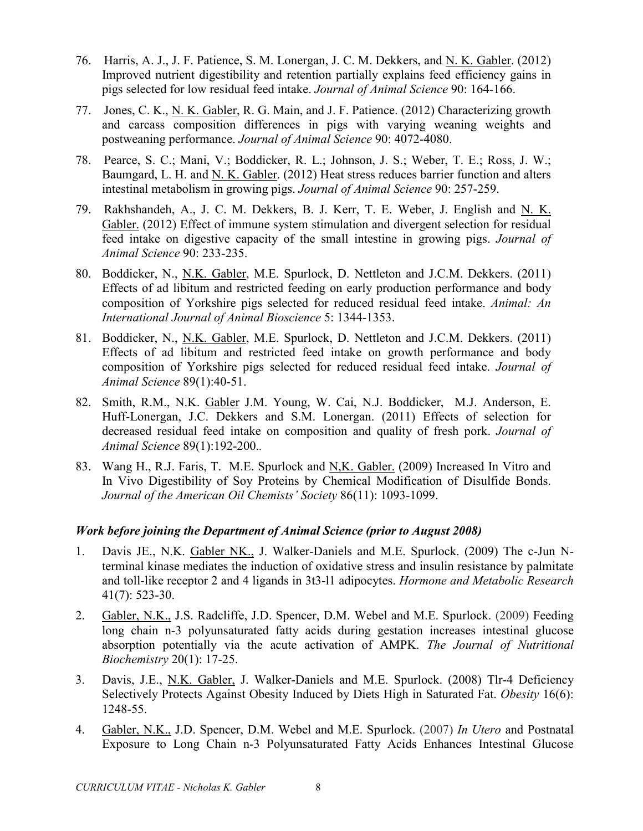- 76. Harris, A. J., J. F. Patience, S. M. Lonergan, J. C. M. Dekkers, and N. K. Gabler. (2012) Improved nutrient digestibility and retention partially explains feed efficiency gains in pigs selected for low residual feed intake. *Journal of Animal Science* 90: 164-166.
- 77. Jones, C. K., N. K. Gabler, R. G. Main, and J. F. Patience. (2012) Characterizing growth and carcass composition differences in pigs with varying weaning weights and postweaning performance. *Journal of Animal Science* 90: 4072-4080.
- 78. Pearce, S. C.; Mani, V.; Boddicker, R. L.; Johnson, J. S.; Weber, T. E.; Ross, J. W.; Baumgard, L. H. and N. K. Gabler. (2012) Heat stress reduces barrier function and alters intestinal metabolism in growing pigs. *Journal of Animal Science* 90: 257-259.
- 79. Rakhshandeh, A., J. C. M. Dekkers, B. J. Kerr, T. E. Weber, J. English and N. K. Gabler. (2012) Effect of immune system stimulation and divergent selection for residual feed intake on digestive capacity of the small intestine in growing pigs. *Journal of Animal Science* 90: 233-235.
- 80. Boddicker, N., N.K. Gabler, M.E. Spurlock, D. Nettleton and J.C.M. Dekkers. (2011) Effects of ad libitum and restricted feeding on early production performance and body composition of Yorkshire pigs selected for reduced residual feed intake. *Animal: An International Journal of Animal Bioscience* 5: 1344-1353.
- 81. Boddicker, N., N.K. Gabler, M.E. Spurlock, D. Nettleton and J.C.M. Dekkers. (2011) Effects of ad libitum and restricted feed intake on growth performance and body composition of Yorkshire pigs selected for reduced residual feed intake. *Journal of Animal Science* 89(1):40-51.
- 82. Smith, R.M., N.K. Gabler J.M. Young, W. Cai, N.J. Boddicker, M.J. Anderson, E. Huff-Lonergan, J.C. Dekkers and S.M. Lonergan. (2011) Effects of selection for decreased residual feed intake on composition and quality of fresh pork. *Journal of Animal Science* 89(1):192-200.*.*
- 83. Wang H., R.J. Faris, T. M.E. Spurlock and N,K. Gabler. (2009) Increased In Vitro and In Vivo Digestibility of Soy Proteins by Chemical Modification of Disulfide Bonds. *Journal of the American Oil Chemists' Society* 86(11): 1093-1099.

## *Work before joining the Department of Animal Science (prior to August 2008)*

- 1. Davis JE., N.K. Gabler NK., J. Walker-Daniels and M.E. Spurlock. (2009) The c-Jun Nterminal kinase mediates the induction of oxidative stress and insulin resistance by palmitate and toll-like receptor 2 and 4 ligands in 3t3-l1 adipocytes. *Hormone and Metabolic Research* 41(7): 523-30.
- 2. Gabler, N.K., J.S. Radcliffe, J.D. Spencer, D.M. Webel and M.E. Spurlock. (2009) Feeding long chain n-3 polyunsaturated fatty acids during gestation increases intestinal glucose absorption potentially via the acute activation of AMPK. *The Journal of Nutritional Biochemistry* 20(1): 17-25.
- 3. Davis, J.E., N.K. Gabler, J. Walker-Daniels and M.E. Spurlock. (2008) Tlr-4 Deficiency Selectively Protects Against Obesity Induced by Diets High in Saturated Fat. *Obesity* 16(6): 1248-55.
- 4. Gabler, N.K., J.D. Spencer, D.M. Webel and M.E. Spurlock. (2007) *In Utero* and Postnatal Exposure to Long Chain n-3 Polyunsaturated Fatty Acids Enhances Intestinal Glucose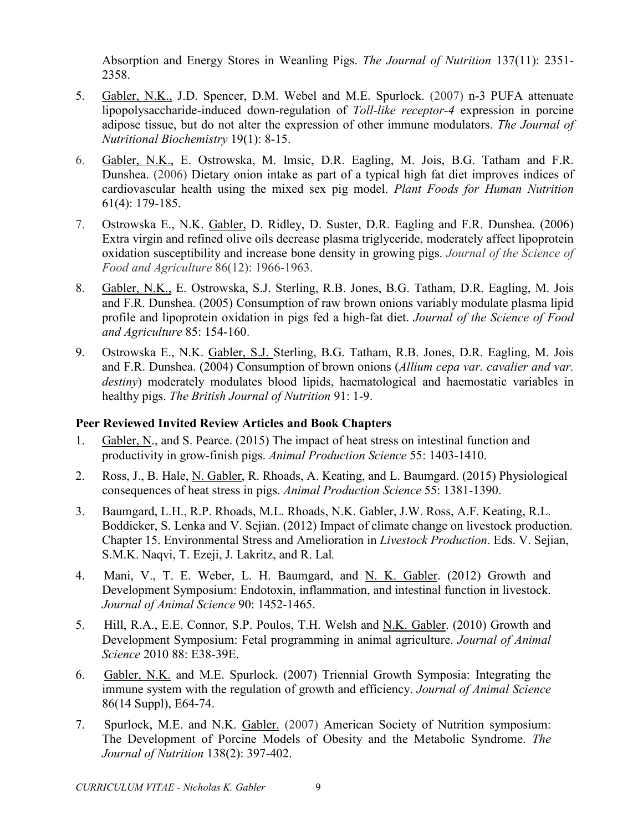Absorption and Energy Stores in Weanling Pigs. *The Journal of Nutrition* 137(11): 2351- 2358.

- 5. Gabler, N.K., J.D. Spencer, D.M. Webel and M.E. Spurlock. (2007) n-3 PUFA attenuate lipopolysaccharide-induced down-regulation of *Toll-like receptor-4* expression in porcine adipose tissue, but do not alter the expression of other immune modulators. *The Journal of Nutritional Biochemistry* 19(1): 8-15.
- 6. Gabler, N.K., E. Ostrowska, M. Imsic, D.R. Eagling, M. Jois, B.G. Tatham and F.R. Dunshea. (2006) Dietary onion intake as part of a typical high fat diet improves indices of cardiovascular health using the mixed sex pig model. *Plant Foods for Human Nutrition* 61(4): 179-185.
- 7. Ostrowska E., N.K. Gabler, D. Ridley, D. Suster, D.R. Eagling and F.R. Dunshea. (2006) Extra virgin and refined olive oils decrease plasma triglyceride, moderately affect lipoprotein oxidation susceptibility and increase bone density in growing pigs. *Journal of the Science of Food and Agriculture* 86(12): 1966-1963.
- 8. Gabler, N.K., E. Ostrowska, S.J. Sterling, R.B. Jones, B.G. Tatham, D.R. Eagling, M. Jois and F.R. Dunshea. (2005) Consumption of raw brown onions variably modulate plasma lipid profile and lipoprotein oxidation in pigs fed a high-fat diet. *Journal of the Science of Food and Agriculture* 85: 154-160.
- 9. Ostrowska E., N.K. Gabler, S.J. Sterling, B.G. Tatham, R.B. Jones, D.R. Eagling, M. Jois and F.R. Dunshea. (2004) Consumption of brown onions (*Allium cepa var. cavalier and var. destiny*) moderately modulates blood lipids, haematological and haemostatic variables in healthy pigs. *The British Journal of Nutrition* 91: 1-9.

## **Peer Reviewed Invited Review Articles and Book Chapters**

- 1. Gabler, N., and S. Pearce. (2015) The impact of heat stress on intestinal function and productivity in grow-finish pigs. *Animal Production Science* 55: 1403-1410.
- 2. Ross, J., B. Hale, N. Gabler, R. Rhoads, A. Keating, and L. Baumgard. (2015) Physiological consequences of heat stress in pigs. *Animal Production Science* 55: 1381-1390.
- 3. Baumgard, L.H., R.P. Rhoads, M.L. Rhoads, N.K. Gabler, J.W. Ross, A.F. Keating, R.L. Boddicker, S. Lenka and V. Sejian. (2012) Impact of climate change on livestock production. Chapter 15. Environmental Stress and Amelioration in *Livestock Production*. Eds. V. Sejian, S.M.K. Naqvi, T. Ezeji, J. Lakritz, and R. Lal*.*
- 4. Mani, V., T. E. Weber, L. H. Baumgard, and N. K. Gabler. (2012) Growth and Development Symposium: Endotoxin, inflammation, and intestinal function in livestock. *Journal of Animal Science* 90: 1452-1465.
- 5. Hill, R.A., E.E. Connor, S.P. Poulos, T.H. Welsh and N.K. Gabler. (2010) Growth and Development Symposium: Fetal programming in animal agriculture. *Journal of Animal Science* 2010 88: E38-39E.
- 6. Gabler, N.K. and M.E. Spurlock. (2007) Triennial Growth Symposia: Integrating the immune system with the regulation of growth and efficiency. *Journal of Animal Science* 86(14 Suppl), E64-74.
- 7. Spurlock, M.E. and N.K. Gabler. (2007) American Society of Nutrition symposium: The Development of Porcine Models of Obesity and the Metabolic Syndrome. *The Journal of Nutrition* 138(2): 397-402.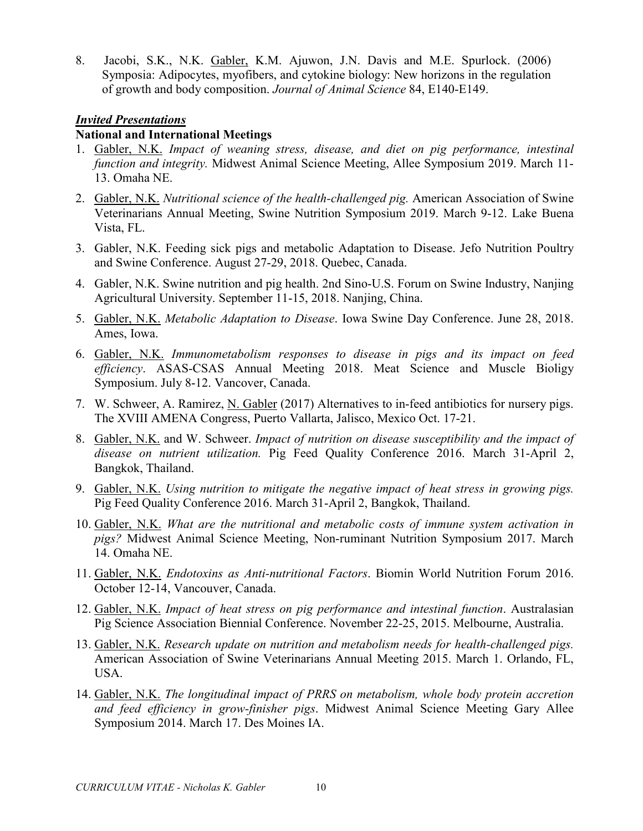8. Jacobi, S.K., N.K. Gabler, K.M. Ajuwon, J.N. Davis and M.E. Spurlock. (2006) Symposia: Adipocytes, myofibers, and cytokine biology: New horizons in the regulation of growth and body composition. *Journal of Animal Science* 84, E140-E149.

#### *Invited Presentations*

#### **National and International Meetings**

- 1. Gabler, N.K. *Impact of weaning stress, disease, and diet on pig performance, intestinal function and integrity.* Midwest Animal Science Meeting, Allee Symposium 2019. March 11- 13. Omaha NE.
- 2. Gabler, N.K. *Nutritional science of the health-challenged pig.* American Association of Swine Veterinarians Annual Meeting, Swine Nutrition Symposium 2019. March 9-12. Lake Buena Vista, FL.
- 3. Gabler, N.K. Feeding sick pigs and metabolic Adaptation to Disease. Jefo Nutrition Poultry and Swine Conference. August 27-29, 2018. Quebec, Canada.
- 4. Gabler, N.K. Swine nutrition and pig health. 2nd Sino-U.S. Forum on Swine Industry, Nanjing Agricultural University. September 11-15, 2018. Nanjing, China.
- 5. Gabler, N.K. *Metabolic Adaptation to Disease*. Iowa Swine Day Conference. June 28, 2018. Ames, Iowa.
- 6. Gabler, N.K. *Immunometabolism responses to disease in pigs and its impact on feed efficiency*. ASAS-CSAS Annual Meeting 2018. Meat Science and Muscle Bioligy Symposium. July 8-12. Vancover, Canada.
- 7. W. Schweer, A. Ramirez, N. Gabler (2017) Alternatives to in-feed antibiotics for nursery pigs. The XVIII AMENA Congress, Puerto Vallarta, Jalisco, Mexico Oct. 17-21.
- 8. Gabler, N.K. and W. Schweer. *Impact of nutrition on disease susceptibility and the impact of disease on nutrient utilization.* Pig Feed Quality Conference 2016. March 31-April 2, Bangkok, Thailand.
- 9. Gabler, N.K. *Using nutrition to mitigate the negative impact of heat stress in growing pigs.* Pig Feed Quality Conference 2016. March 31-April 2, Bangkok, Thailand.
- 10. Gabler, N.K. *What are the nutritional and metabolic costs of immune system activation in pigs?* Midwest Animal Science Meeting, Non-ruminant Nutrition Symposium 2017. March 14. Omaha NE.
- 11. Gabler, N.K. *Endotoxins as Anti-nutritional Factors*. Biomin World Nutrition Forum 2016. October 12-14, Vancouver, Canada.
- 12. Gabler, N.K. *Impact of heat stress on pig performance and intestinal function*. Australasian Pig Science Association Biennial Conference. November 22-25, 2015. Melbourne, Australia.
- 13. Gabler, N.K. *Research update on nutrition and metabolism needs for health-challenged pigs.* American Association of Swine Veterinarians Annual Meeting 2015. March 1. Orlando, FL, USA.
- 14. Gabler, N.K. *The longitudinal impact of PRRS on metabolism, whole body protein accretion and feed efficiency in grow-finisher pigs*. Midwest Animal Science Meeting Gary Allee Symposium 2014. March 17. Des Moines IA.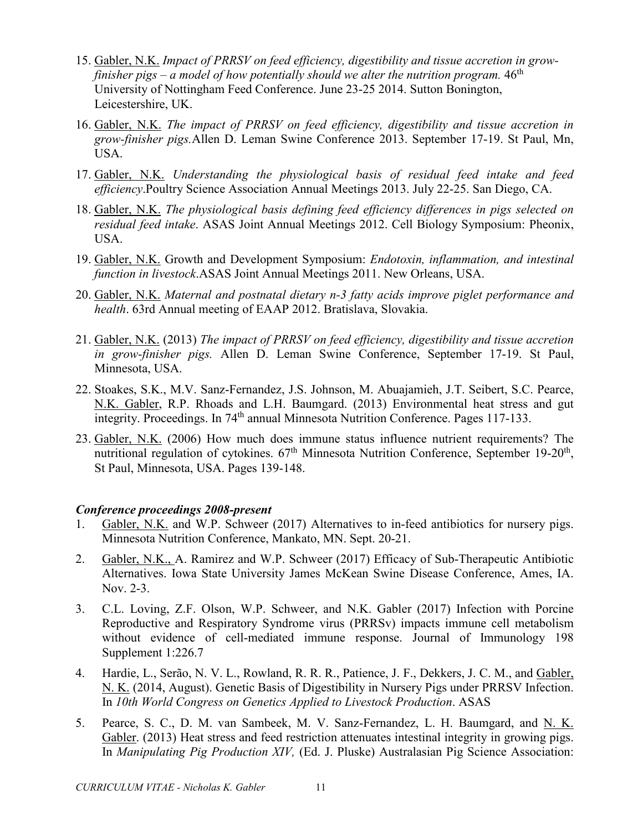- 15. Gabler, N.K. *Impact of PRRSV on feed efficiency, digestibility and tissue accretion in growfinisher pigs – a model of how potentially should we alter the nutrition program.*  $46<sup>th</sup>$ University of Nottingham Feed Conference. June 23-25 2014. Sutton Bonington, Leicestershire, UK.
- 16. Gabler, N.K. *The impact of PRRSV on feed efficiency, digestibility and tissue accretion in grow-finisher pigs.*Allen D. Leman Swine Conference 2013. September 17-19. St Paul, Mn, USA.
- 17. Gabler, N.K. *Understanding the physiological basis of residual feed intake and feed efficiency*.Poultry Science Association Annual Meetings 2013. July 22-25. San Diego, CA.
- 18. Gabler, N.K. *The physiological basis defining feed efficiency differences in pigs selected on residual feed intake*. ASAS Joint Annual Meetings 2012. Cell Biology Symposium: Pheonix, USA.
- 19. Gabler, N.K. Growth and Development Symposium: *Endotoxin, inflammation, and intestinal function in livestock*.ASAS Joint Annual Meetings 2011. New Orleans, USA.
- 20. Gabler, N.K. *Maternal and postnatal dietary n-3 fatty acids improve piglet performance and health*. 63rd Annual meeting of EAAP 2012. Bratislava, Slovakia.
- 21. Gabler, N.K. (2013) *The impact of PRRSV on feed efficiency, digestibility and tissue accretion in grow-finisher pigs.* Allen D. Leman Swine Conference, September 17-19. St Paul, Minnesota, USA.
- 22. Stoakes, S.K., M.V. Sanz-Fernandez, J.S. Johnson, M. Abuajamieh, J.T. Seibert, S.C. Pearce, N.K. Gabler, R.P. Rhoads and L.H. Baumgard. (2013) Environmental heat stress and gut integrity. Proceedings. In 74<sup>th</sup> annual Minnesota Nutrition Conference. Pages 117-133.
- 23. Gabler, N.K. (2006) How much does immune status influence nutrient requirements? The nutritional regulation of cytokines.  $67<sup>th</sup>$  Minnesota Nutrition Conference, September 19-20<sup>th</sup>, St Paul, Minnesota, USA. Pages 139-148.

#### *Conference proceedings 2008-present*

- 1. Gabler, N.K. and W.P. Schweer (2017) Alternatives to in-feed antibiotics for nursery pigs. Minnesota Nutrition Conference, Mankato, MN. Sept. 20-21.
- 2. Gabler, N.K., A. Ramirez and W.P. Schweer (2017) Efficacy of Sub-Therapeutic Antibiotic Alternatives. Iowa State University James McKean Swine Disease Conference, Ames, IA. Nov. 2-3.
- 3. C.L. Loving, Z.F. Olson, W.P. Schweer, and N.K. Gabler (2017) Infection with Porcine Reproductive and Respiratory Syndrome virus (PRRSv) impacts immune cell metabolism without evidence of cell-mediated immune response. Journal of Immunology 198 Supplement 1:226.7
- 4. Hardie, L., Serão, N. V. L., Rowland, R. R. R., Patience, J. F., Dekkers, J. C. M., and Gabler, N. K. (2014, August). Genetic Basis of Digestibility in Nursery Pigs under PRRSV Infection. In *10th World Congress on Genetics Applied to Livestock Production*. ASAS
- 5. Pearce, S. C., D. M. van Sambeek, M. V. Sanz-Fernandez, L. H. Baumgard, and N. K. Gabler. (2013) Heat stress and feed restriction attenuates intestinal integrity in growing pigs. In *Manipulating Pig Production XIV,* (Ed. J. Pluske) Australasian Pig Science Association: